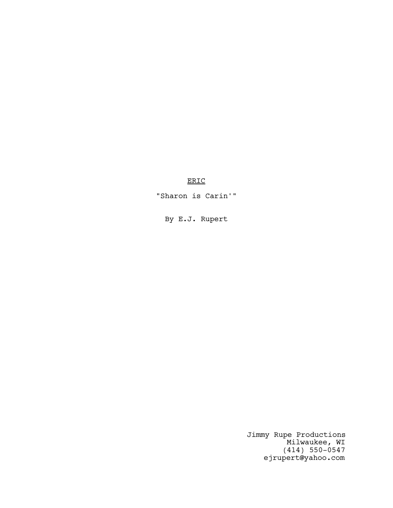ERIC

"Sharon is Carin'"

By E.J. Rupert

Jimmy Rupe Productions Milwaukee, WI (414) 550-0547 ejrupert@yahoo.com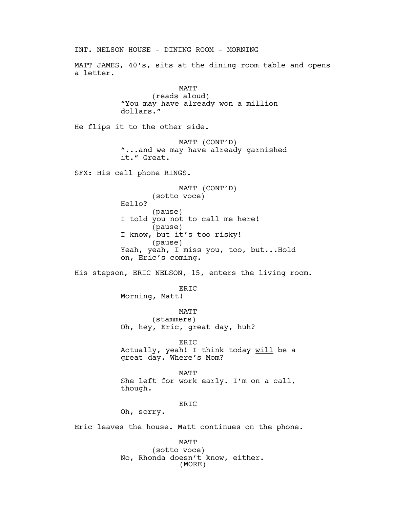INT. NELSON HOUSE - DINING ROOM - MORNING MATT JAMES, 40's, sits at the dining room table and opens a letter. MATT (reads aloud) "You may have already won a million dollars." He flips it to the other side. MATT (CONT'D) "...and we may have already garnished it." Great. SFX: His cell phone RINGS. MATT (CONT'D) (sotto voce) Hello? (pause) I told you not to call me here! (pause) I know, but it's too risky! (pause) Yeah, yeah, I miss you, too, but...Hold on, Eric's coming. His stepson, ERIC NELSON, 15, enters the living room. ERIC Morning, Matt! MATT (stammers) Oh, hey, Eric, great day, huh? ERIC Actually, yeah! I think today will be a great day. Where's Mom? MATT She left for work early. I'm on a call, though. ER<sub>TC</sub> Oh, sorry. Eric leaves the house. Matt continues on the phone. MATT (sotto voce) No, Rhonda doesn't know, either.

(MORE)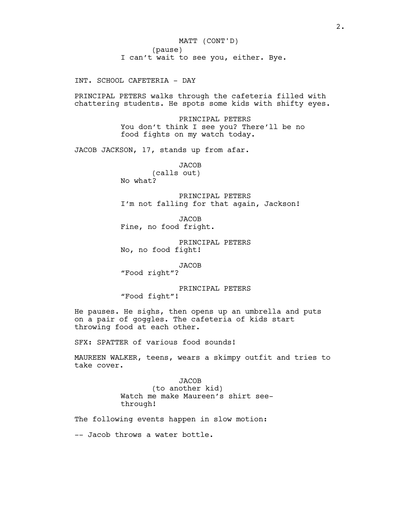INT. SCHOOL CAFETERIA - DAY

PRINCIPAL PETERS walks through the cafeteria filled with chattering students. He spots some kids with shifty eyes.

> PRINCIPAL PETERS You don't think I see you? There'll be no food fights on my watch today.

JACOB JACKSON, 17, stands up from afar.

**JACOB** (calls out) No what?

PRINCIPAL PETERS I'm not falling for that again, Jackson!

**JACOB** Fine, no food fright.

PRINCIPAL PETERS No, no food fight!

JACOB

"Food right"?

PRINCIPAL PETERS "Food fight"!

He pauses. He sighs, then opens up an umbrella and puts on a pair of goggles. The cafeteria of kids start throwing food at each other.

SFX: SPATTER of various food sounds!

MAUREEN WALKER, teens, wears a skimpy outfit and tries to take cover.

> JACOB (to another kid) Watch me make Maureen's shirt seethrough!

The following events happen in slow motion:

-- Jacob throws a water bottle.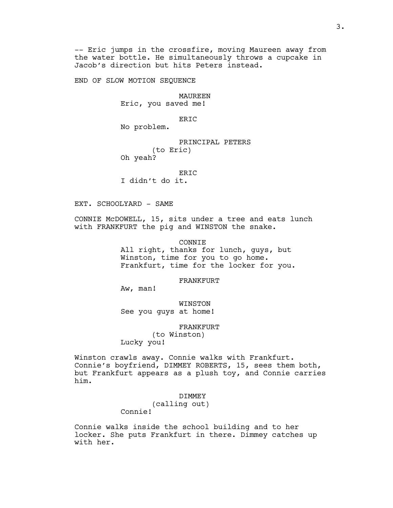-- Eric jumps in the crossfire, moving Maureen away from the water bottle. He simultaneously throws a cupcake in Jacob's direction but hits Peters instead.

END OF SLOW MOTION SEQUENCE

MAUREEN Eric, you saved me!

ERIC

No problem.

# PRINCIPAL PETERS (to Eric)

Oh yeah?

ERIC I didn't do it.

EXT. SCHOOLYARD - SAME

CONNIE McDOWELL, 15, sits under a tree and eats lunch with FRANKFURT the pig and WINSTON the snake.

CONNIE

All right, thanks for lunch, guys, but Winston, time for you to go home. Frankfurt, time for the locker for you.

#### FRANKFURT

Aw, man!

WINSTON See you guys at home!

FRANKFURT

(to Winston) Lucky you!

Winston crawls away. Connie walks with Frankfurt. Connie's boyfriend, DIMMEY ROBERTS, 15, sees them both, but Frankfurt appears as a plush toy, and Connie carries him.

DIMMEY

(calling out) Connie!

Connie walks inside the school building and to her locker. She puts Frankfurt in there. Dimmey catches up with her.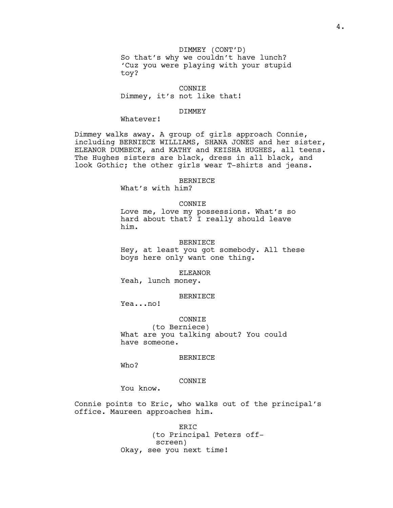DIMMEY (CONT'D) So that's why we couldn't have lunch? 'Cuz you were playing with your stupid toy?

CONNIE

Dimmey, it's not like that!

#### DIMMEY

Whatever!

Dimmey walks away. A group of girls approach Connie, including BERNIECE WILLIAMS, SHANA JONES and her sister, ELEANOR DUMBECK, and KATHY and KEISHA HUGHES, all teens. The Hughes sisters are black, dress in all black, and look Gothic; the other girls wear T-shirts and jeans.

#### BERNIECE

What's with him?

## CONNIE

Love me, love my possessions. What's so hard about that? I really should leave him.

#### BERNIECE

Hey, at least you got somebody. All these boys here only want one thing.

### ELEANOR

Yeah, lunch money.

## BERNIECE

Yea...no!

## CONNIE

(to Berniece) What are you talking about? You could have someone.

#### BERNIECE

Who?

## CONNIE

You know.

Connie points to Eric, who walks out of the principal's office. Maureen approaches him.

> ERIC (to Principal Peters offscreen) Okay, see you next time!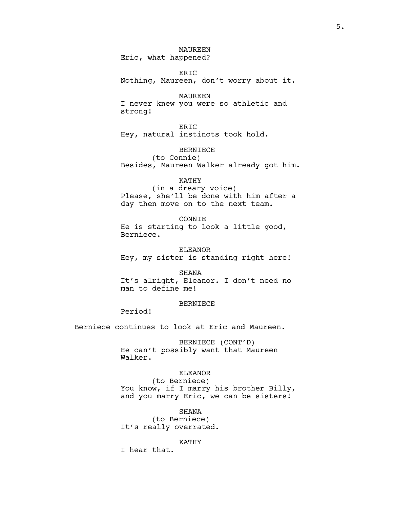MAUREEN Eric, what happened?

ERIC Nothing, Maureen, don't worry about it.

MAUREEN I never knew you were so athletic and strong!

ERIC Hey, natural instincts took hold.

BERNIECE

(to Connie) Besides, Maureen Walker already got him.

KATHY (in a dreary voice) Please, she'll be done with him after a day then move on to the next team.

CONNIE He is starting to look a little good, Berniece.

ELEANOR Hey, my sister is standing right here!

SHANA

It's alright, Eleanor. I don't need no man to define me!

# BERNIECE

Period!

Berniece continues to look at Eric and Maureen.

BERNIECE (CONT'D) He can't possibly want that Maureen Walker.

## ELEANOR

(to Berniece) You know, if I marry his brother Billy, and you marry Eric, we can be sisters!

SHANA

(to Berniece) It's really overrated.

#### KATHY

I hear that.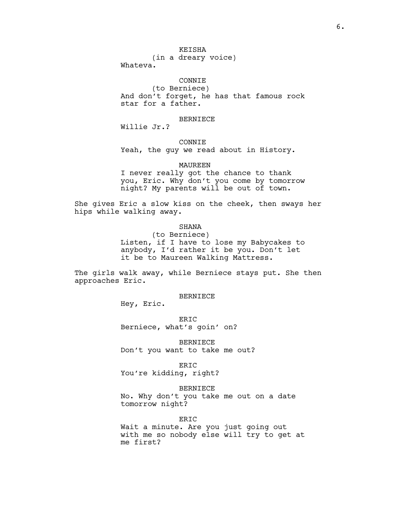# KEISHA

(in a dreary voice)

Whateva.

## CONNIE

(to Berniece) And don't forget, he has that famous rock star for a father.

# BERNIECE

Willie Jr.?

## CONNIE

Yeah, the guy we read about in History.

### MAUREEN

I never really got the chance to thank you, Eric. Why don't you come by tomorrow night? My parents will be out of town.

She gives Eric a slow kiss on the cheek, then sways her hips while walking away.

### SHANA

(to Berniece) Listen, if I have to lose my Babycakes to anybody, I'd rather it be you. Don't let it be to Maureen Walking Mattress.

The girls walk away, while Berniece stays put. She then approaches Eric.

### BERNIECE

Hey, Eric.

ER<sub>TC</sub> Berniece, what's goin' on?

BERNIECE Don't you want to take me out?

ERIC

You're kidding, right?

## BERNIECE

No. Why don't you take me out on a date tomorrow night?

ERIC

Wait a minute. Are you just going out with me so nobody else will try to get at me first?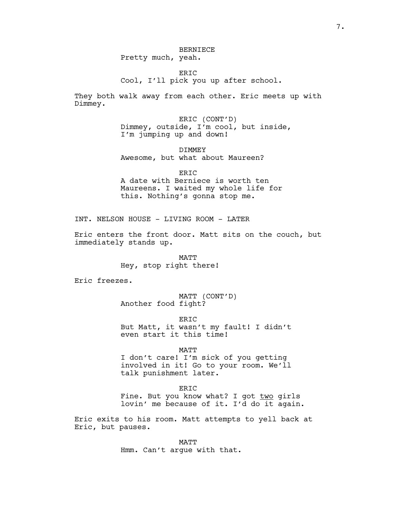7.

## BERNIECE Pretty much, yeah.

ER<sub>TC</sub> Cool, I'll pick you up after school.

They both walk away from each other. Eric meets up with Dimmey.

> ERIC (CONT'D) Dimmey, outside, I'm cool, but inside, I'm jumping up and down!

DIMMEY Awesome, but what about Maureen?

ERIC A date with Berniece is worth ten Maureens. I waited my whole life for this. Nothing's gonna stop me.

INT. NELSON HOUSE - LIVING ROOM - LATER

Eric enters the front door. Matt sits on the couch, but immediately stands up.

> MATT Hey, stop right there!

Eric freezes.

MATT (CONT'D) Another food fight?

ERIC But Matt, it wasn't my fault! I didn't even start it this time!

MATT

I don't care! I'm sick of you getting involved in it! Go to your room. We'll talk punishment later.

ERIC

Fine. But you know what? I got two girls lovin' me because of it. I'd do it again.

Eric exits to his room. Matt attempts to yell back at Eric, but pauses.

> MATT Hmm. Can't argue with that.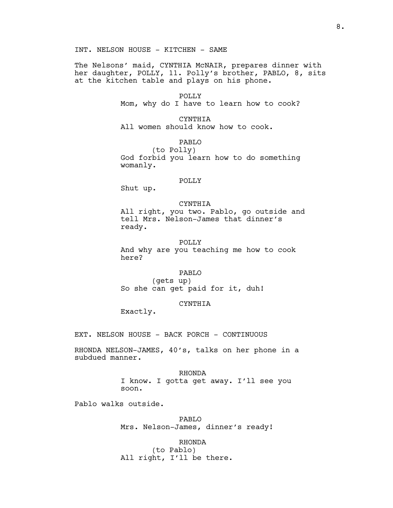INT. NELSON HOUSE - KITCHEN - SAME

The Nelsons' maid, CYNTHIA McNAIR, prepares dinner with her daughter, POLLY, 11. Polly's brother, PABLO, 8, sits at the kitchen table and plays on his phone.

> POLLY Mom, why do I have to learn how to cook?

CYNTHIA All women should know how to cook.

PABLO (to Polly) God forbid you learn how to do something womanly.

## POLLY

Shut up.

CYNTHIA

All right, you two. Pablo, go outside and tell Mrs. Nelson-James that dinner's ready.

POLLY

And why are you teaching me how to cook here?

PABLO

(gets up) So she can get paid for it, duh!

CYNTHIA

Exactly.

EXT. NELSON HOUSE - BACK PORCH - CONTINUOUS

RHONDA NELSON-JAMES, 40's, talks on her phone in a subdued manner.

> RHONDA I know. I gotta get away. I'll see you soon.

Pablo walks outside.

PABLO Mrs. Nelson-James, dinner's ready!

RHONDA

(to Pablo) All right, I'll be there.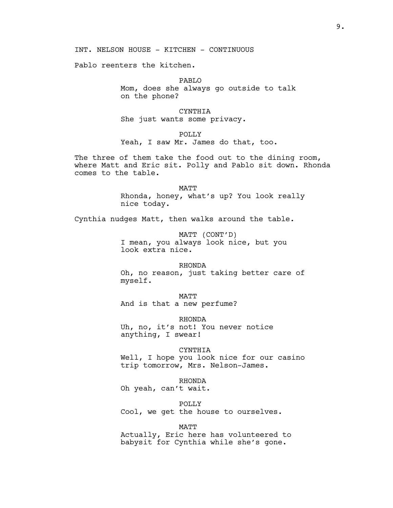INT. NELSON HOUSE - KITCHEN - CONTINUOUS

Pablo reenters the kitchen.

PABLO Mom, does she always go outside to talk on the phone?

CYNTHIA She just wants some privacy.

POLLY

Yeah, I saw Mr. James do that, too.

The three of them take the food out to the dining room, where Matt and Eric sit. Polly and Pablo sit down. Rhonda comes to the table.

> MATT Rhonda, honey, what's up? You look really nice today.

Cynthia nudges Matt, then walks around the table.

MATT (CONT'D) I mean, you always look nice, but you look extra nice.

RHONDA Oh, no reason, just taking better care of myself.

MATT And is that a new perfume?

RHONDA Uh, no, it's not! You never notice anything, I swear!

#### CYNTHIA

Well, I hope you look nice for our casino trip tomorrow, Mrs. Nelson-James.

# RHONDA

Oh yeah, can't wait.

POLLY

Cool, we get the house to ourselves.

#### MATT

Actually, Eric here has volunteered to babysit for Cynthia while she's gone.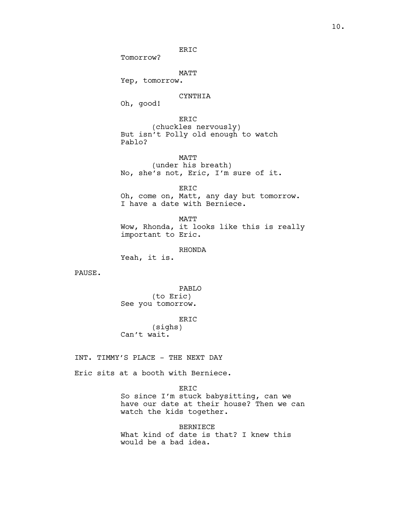# ERIC

Tomorrow?

MATT

Yep, tomorrow.

# CYNTHIA

Oh, good!

ERIC (chuckles nervously) But isn't Polly old enough to watch Pablo?

MATT (under his breath) No, she's not, Eric, I'm sure of it.

ERIC Oh, come on, Matt, any day but tomorrow. I have a date with Berniece.

MATT Wow, Rhonda, it looks like this is really important to Eric.

### RHONDA

Yeah, it is.

PAUSE.

PABLO (to Eric) See you tomorrow.

ERIC

(sighs) Can't wait.

INT. TIMMY'S PLACE - THE NEXT DAY

Eric sits at a booth with Berniece.

ERIC

So since I'm stuck babysitting, can we have our date at their house? Then we can watch the kids together.

BERNIECE What kind of date is that? I knew this would be a bad idea.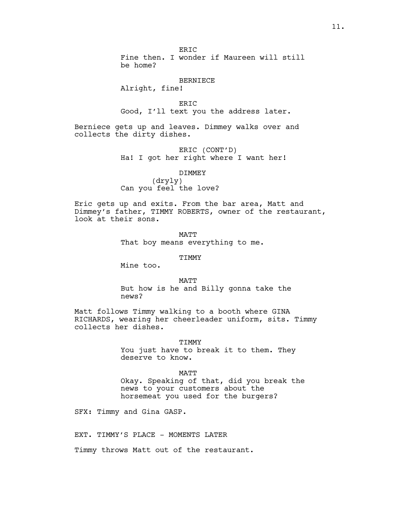ER<sub>TC</sub> Fine then. I wonder if Maureen will still be home?

#### BERNIECE

Alright, fine!

ERIC Good, I'll text you the address later.

Berniece gets up and leaves. Dimmey walks over and collects the dirty dishes.

> ERIC (CONT'D) Ha! I got her right where I want her!

## DIMMEY

(dryly) Can you feel the love?

Eric gets up and exits. From the bar area, Matt and Dimmey's father, TIMMY ROBERTS, owner of the restaurant, look at their sons.

> **MATT** That boy means everything to me.

### TIMMY

Mine too.

#### MATT

But how is he and Billy gonna take the news?

Matt follows Timmy walking to a booth where GINA RICHARDS, wearing her cheerleader uniform, sits. Timmy collects her dishes.

> TIMMY You just have to break it to them. They deserve to know.

MATT Okay. Speaking of that, did you break the news to your customers about the horsemeat you used for the burgers?

SFX: Timmy and Gina GASP.

EXT. TIMMY'S PLACE - MOMENTS LATER

Timmy throws Matt out of the restaurant.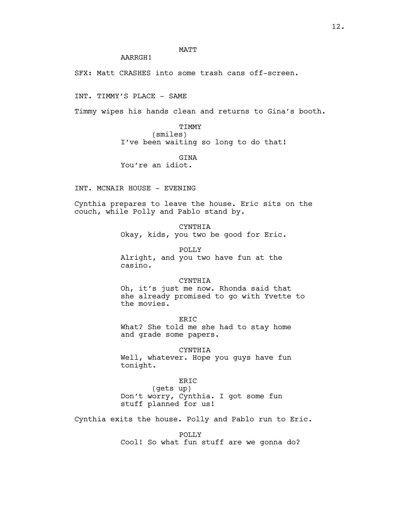# MATT

AARRGH!

SFX: Matt CRASHES into some trash cans off-screen.

INT. TIMMY'S PLACE - SAME

Timmy wipes his hands clean and returns to Gina's booth.

TIMMY

(smiles) I've been waiting so long to do that!

GINA

You're an idiot.

INT. MCNAIR HOUSE - EVENING

Cynthia prepares to leave the house. Eric sits on the couch, while Polly and Pablo stand by.

> CYNTHIA Okay, kids, you two be good for Eric.

POLLY Alright, and you two have fun at the casino.

### CYNTHIA

Oh, it's just me now. Rhonda said that she already promised to go with Yvette to the movies.

ER<sub>TC</sub> What? She told me she had to stay home and grade some papers.

CYNTHIA

Well, whatever. Hope you guys have fun tonight.

# ERIC

(gets up) Don't worry, Cynthia. I got some fun stuff planned for us!

Cynthia exits the house. Polly and Pablo run to Eric.

POLLY Cool! So what fun stuff are we gonna do?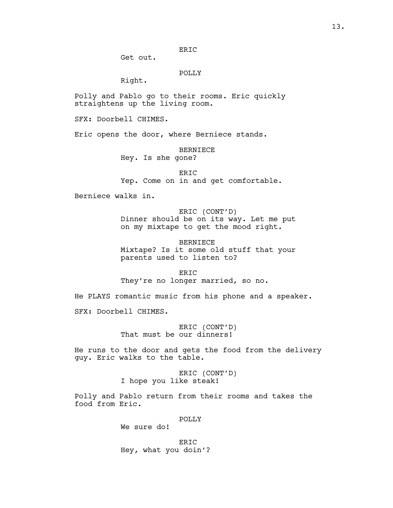ERIC

Get out.

POLLY

Right.

Polly and Pablo go to their rooms. Eric quickly straightens up the living room.

SFX: Doorbell CHIMES.

Eric opens the door, where Berniece stands.

BERNIECE Hey. Is she gone?

ERIC Yep. Come on in and get comfortable.

Berniece walks in.

ERIC (CONT'D) Dinner should be on its way. Let me put on my mixtape to get the mood right.

BERNIECE Mixtape? Is it some old stuff that your parents used to listen to?

ERIC

They're no longer married, so no.

He PLAYS romantic music from his phone and a speaker.

SFX: Doorbell CHIMES.

ERIC (CONT'D) That must be our dinners!

He runs to the door and gets the food from the delivery guy. Eric walks to the table.

> ERIC (CONT'D) I hope you like steak!

Polly and Pablo return from their rooms and takes the food from Eric.

POLLY

We sure do!

ERIC Hey, what you doin'?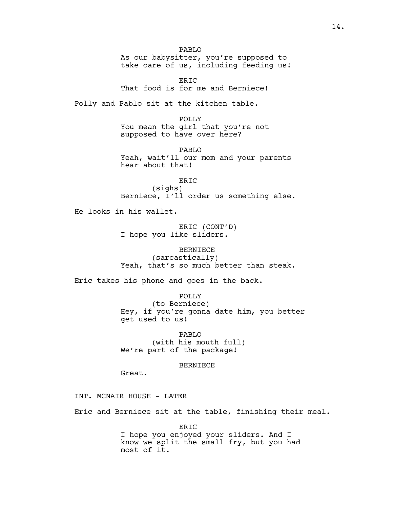PABLO As our babysitter, you're supposed to take care of us, including feeding us!

ER<sub>TC</sub> That food is for me and Berniece!

Polly and Pablo sit at the kitchen table.

POLLY You mean the girl that you're not supposed to have over here?

PABLO Yeah, wait'll our mom and your parents hear about that!

ERIC (sighs) Berniece, I'll order us something else.

He looks in his wallet.

ERIC (CONT'D) I hope you like sliders.

BERNIECE (sarcastically) Yeah, that's so much better than steak.

Eric takes his phone and goes in the back.

POLLY (to Berniece)

Hey, if you're gonna date him, you better get used to us!

PABLO (with his mouth full) We're part of the package!

#### BERNIECE

Great.

INT. MCNAIR HOUSE - LATER

Eric and Berniece sit at the table, finishing their meal.

ERIC I hope you enjoyed your sliders. And I know we split the small fry, but you had most of it.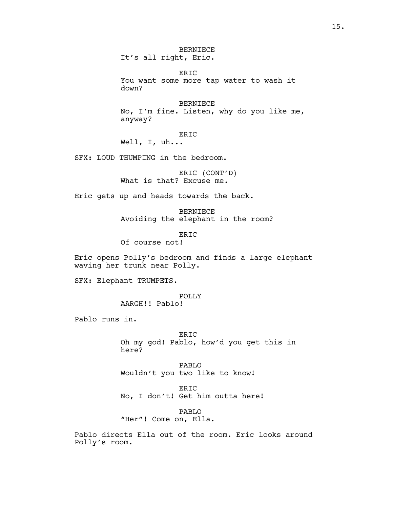BERNIECE It's all right, Eric.

ERIC You want some more tap water to wash it down?

BERNIECE No, I'm fine. Listen, why do you like me, anyway?

ERIC

Well, I, uh...

SFX: LOUD THUMPING in the bedroom.

ERIC (CONT'D) What is that? Excuse me.

Eric gets up and heads towards the back.

BERNIECE Avoiding the elephant in the room?

ERIC Of course not!

Eric opens Polly's bedroom and finds a large elephant waving her trunk near Polly.

SFX: Elephant TRUMPETS.

POLLY AARGH!! Pablo!

Pablo runs in.

ERIC Oh my god! Pablo, how'd you get this in here?

PABLO Wouldn't you two like to know!

ERIC No, I don't! Get him outta here!

PABLO "Her"! Come on, Ella.

Pablo directs Ella out of the room. Eric looks around Polly's room.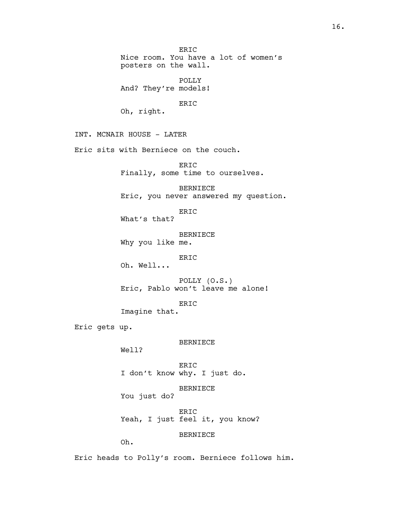Nice room. You have a lot of women's posters on the wall. POLLY And? They're models! ERIC Oh, right. INT. MCNAIR HOUSE - LATER Eric sits with Berniece on the couch. ERIC

ERIC

Finally, some time to ourselves.

BERNIECE Eric, you never answered my question.

ERIC What's that?

BERNIECE Why you like me.

ERIC

Oh. Well...

POLLY (O.S.) Eric, Pablo won't leave me alone!

ERIC Imagine that.

Eric gets up.

BERNIECE

Well?

ERIC I don't know why. I just do.

BERNIECE

You just do?

ERIC Yeah, I just feel it, you know?

BERNIECE

Oh.

Eric heads to Polly's room. Berniece follows him.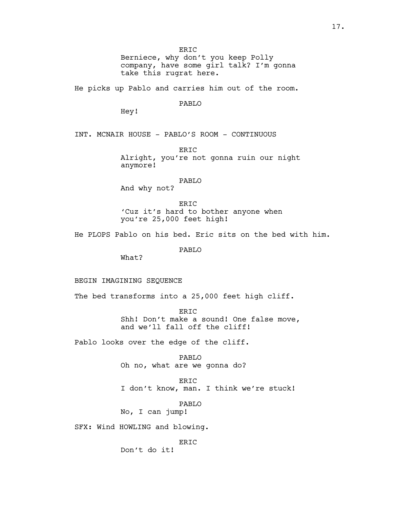ERIC Berniece, why don't you keep Polly company, have some girl talk? I'm gonna take this rugrat here.

He picks up Pablo and carries him out of the room.

PABLO

Hey!

INT. MCNAIR HOUSE - PABLO'S ROOM - CONTINUOUS

ER<sub>TC</sub> Alright, you're not gonna ruin our night anymore!

## PABLO

And why not?

ER<sub>TC</sub> 'Cuz it's hard to bother anyone when you're 25,000 feet high!

He PLOPS Pablo on his bed. Eric sits on the bed with him.

PABLO

What?

### BEGIN IMAGINING SEQUENCE

The bed transforms into a 25,000 feet high cliff.

ERIC Shh! Don't make a sound! One false move, and we'll fall off the cliff!

Pablo looks over the edge of the cliff.

PABLO Oh no, what are we gonna do?

ERIC I don't know, man. I think we're stuck!

PABLO

No, I can jump!

SFX: Wind HOWLING and blowing.

ERIC

Don't do it!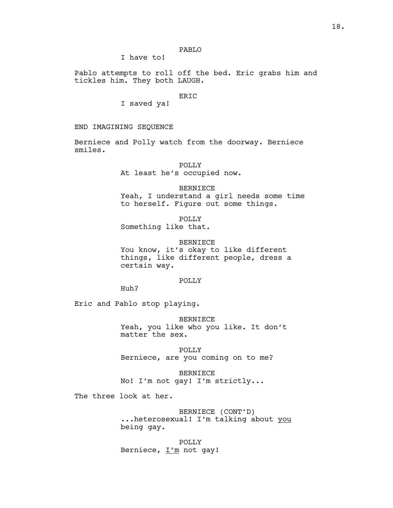# PABLO

I have to!

Pablo attempts to roll off the bed. Eric grabs him and tickles him. They both LAUGH.

# ERIC

I saved ya!

#### END IMAGINING SEQUENCE

Berniece and Polly watch from the doorway. Berniece smiles.

#### POLLY

At least he's occupied now.

#### BERNIECE

Yeah, I understand a girl needs some time to herself. Figure out some things.

POLLY Something like that.

#### BERNIECE

You know, it's okay to like different things, like different people, dress a certain way.

#### POLLY

Huh?

Eric and Pablo stop playing.

BERNIECE Yeah, you like who you like. It don't matter the sex.

POLLY Berniece, are you coming on to me?

BERNIECE No! I'm not gay! I'm strictly...

The three look at her.

BERNIECE (CONT'D) ...heterosexual! I'm talking about you being gay.

POLLY Berniece,  $I'm$  not gay!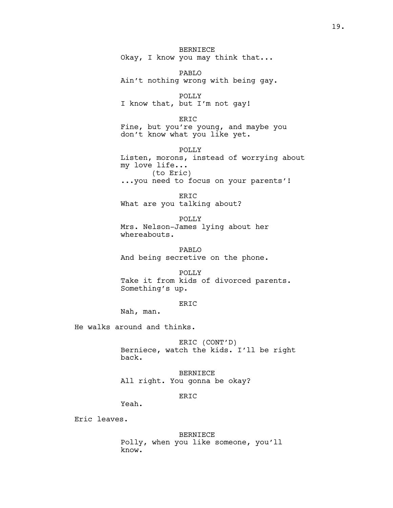BERNIECE Okay, I know you may think that...

PABLO Ain't nothing wrong with being gay.

POLLY I know that, but I'm not gay!

ERIC Fine, but you're young, and maybe you don't know what you like yet.

POLLY Listen, morons, instead of worrying about my love life... (to Eric) ...you need to focus on your parents'!

ERIC What are you talking about?

POLLY Mrs. Nelson-James lying about her whereabouts.

PABLO And being secretive on the phone.

POLLY Take it from kids of divorced parents. Something's up.

# ERIC

Nah, man.

He walks around and thinks.

ERIC (CONT'D) Berniece, watch the kids. I'll be right back.

BERNIECE All right. You gonna be okay?

## ERIC

Yeah.

Eric leaves.

BERNIECE Polly, when you like someone, you'll know.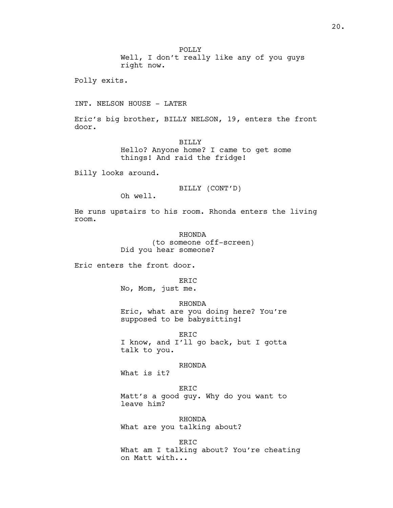Well, I don't really like any of you guys right now.

Polly exits.

INT. NELSON HOUSE - LATER

Eric's big brother, BILLY NELSON, 19, enters the front door.

> BILLY Hello? Anyone home? I came to get some things! And raid the fridge!

Billy looks around.

BILLY (CONT'D)

Oh well.

He runs upstairs to his room. Rhonda enters the living room.

# RHONDA (to someone off-screen) Did you hear someone?

Eric enters the front door.

# ERIC

No, Mom, just me.

RHONDA

Eric, what are you doing here? You're supposed to be babysitting!

ERIC I know, and I'll go back, but I gotta talk to you.

## RHONDA

What is it?

ERIC

Matt's a good guy. Why do you want to leave him?

RHONDA What are you talking about?

ERIC What am I talking about? You're cheating on Matt with...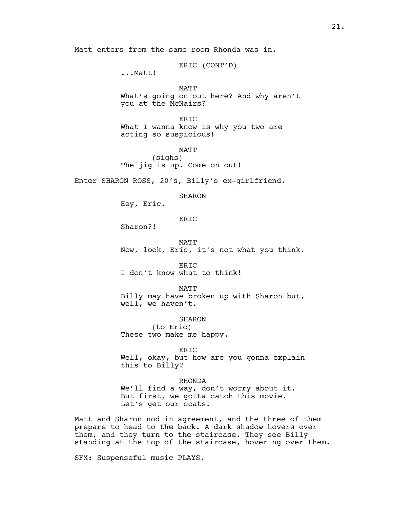Matt enters from the same room Rhonda was in.

ERIC (CONT'D)

...Matt!

# MATT What's going on out here? And why aren't you at the McNairs?

ERIC What I wanna know is why you two are acting so suspicious!

MATT (sighs) The jig is up. Come on out!

Enter SHARON ROSS, 20's, Billy's ex-girlfriend.

SHARON

Hey, Eric.

ERIC

Sharon?!

MATT Now, look, Eric, it's not what you think.

ERIC I don't know what to think!

MATT Billy may have broken up with Sharon but, well, we haven't.

SHARON

(to Eric) These two make me happy.

ERIC

Well, okay, but how are you gonna explain this to Billy?

RHONDA

We'll find a way, don't worry about it. But first, we gotta catch this movie. Let's get our coats.

Matt and Sharon nod in agreement, and the three of them prepare to head to the back. A dark shadow hovers over them, and they turn to the staircase. They see Billy standing at the top of the staircase, hovering over them.

SFX: Suspenseful music PLAYS.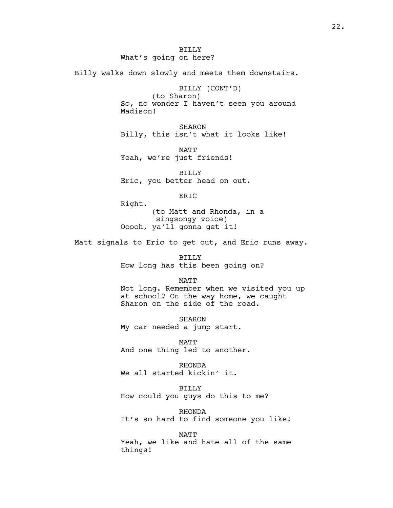Billy walks down slowly and meets them downstairs.

BILLY (CONT'D)

(to Sharon) So, no wonder I haven't seen you around Madison!

SHARON Billy, this isn't what it looks like!

MATT Yeah, we're just friends!

BILLY Eric, you better head on out.

ERIC

Right. (to Matt and Rhonda, in a singsongy voice) Ooooh, ya'll gonna get it!

Matt signals to Eric to get out, and Eric runs away.

BILLY How long has this been going on?

## MATT

Not long. Remember when we visited you up at school? On the way home, we caught Sharon on the side of the road.

**SHARON** My car needed a jump start.

MATT And one thing led to another.

RHONDA We all started kickin' it.

BILLY

How could you guys do this to me?

RHONDA It's so hard to find someone you like!

MATT

Yeah, we like and hate all of the same things!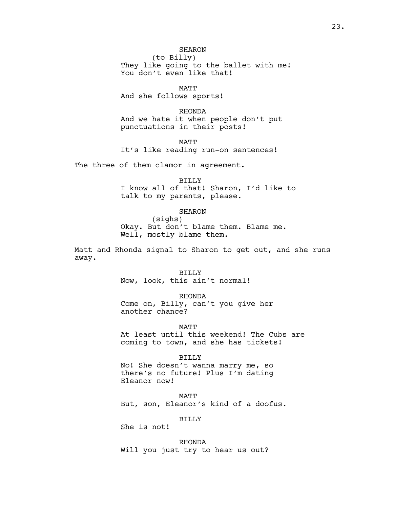(to Billy) They like going to the ballet with me! You don't even like that!

MATT

And she follows sports!

RHONDA And we hate it when people don't put punctuations in their posts!

MATT

It's like reading run-on sentences!

The three of them clamor in agreement.

BILLY I know all of that! Sharon, I'd like to talk to my parents, please.

SHARON

(sighs) Okay. But don't blame them. Blame me. Well, mostly blame them.

Matt and Rhonda signal to Sharon to get out, and she runs away.

BILLY

Now, look, this ain't normal!

RHONDA

Come on, Billy, can't you give her another chance?

MATT

At least until this weekend! The Cubs are coming to town, and she has tickets!

BILLY

No! She doesn't wanna marry me, so there's no future! Plus I'm dating Eleanor now!

MATT But, son, Eleanor's kind of a doofus.

BILLY

She is not!

RHONDA Will you just try to hear us out?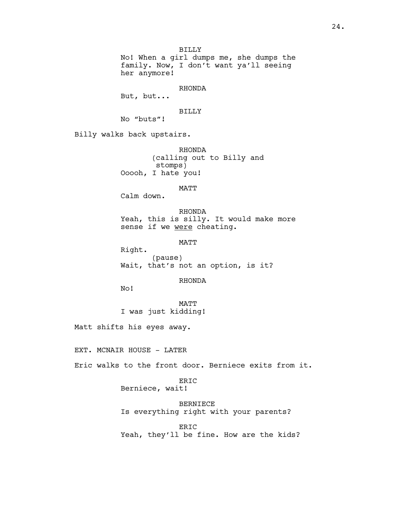BILLY

No! When a girl dumps me, she dumps the family. Now, I don't want ya'll seeing her anymore!

RHONDA

But, but...

## BILLY

No "buts"!

Billy walks back upstairs.

RHONDA (calling out to Billy and stomps) Ooooh, I hate you!

MATT

Calm down.

RHONDA Yeah, this is silly. It would make more sense if we were cheating.

MATT

Right. (pause) Wait, that's not an option, is it?

## RHONDA

No!

MATT I was just kidding!

Matt shifts his eyes away.

EXT. MCNAIR HOUSE - LATER

Eric walks to the front door. Berniece exits from it.

## ERIC Berniece, wait!

BERNIECE Is everything right with your parents?

ERIC Yeah, they'll be fine. How are the kids?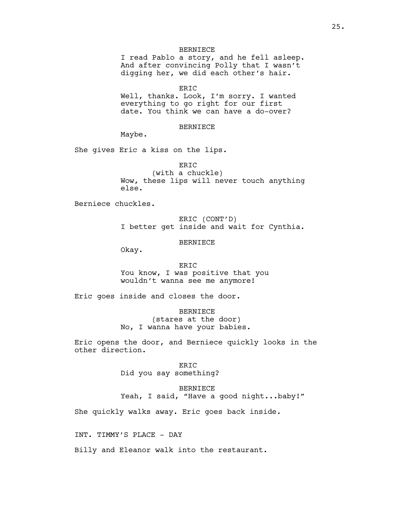### BERNIECE

I read Pablo a story, and he fell asleep. And after convincing Polly that I wasn't digging her, we did each other's hair.

ERIC

Well, thanks. Look, I'm sorry. I wanted everything to go right for our first date. You think we can have a do-over?

#### BERNIECE

Maybe.

She gives Eric a kiss on the lips.

ERIC (with a chuckle) Wow, these lips will never touch anything else.

Berniece chuckles.

ERIC (CONT'D) I better get inside and wait for Cynthia.

BERNIECE

Okay.

ERIC You know, I was positive that you wouldn't wanna see me anymore!

Eric goes inside and closes the door.

BERNIECE (stares at the door) No, I wanna have your babies.

Eric opens the door, and Berniece quickly looks in the other direction.

> ERIC Did you say something?

BERNIECE Yeah, I said, "Have a good night...baby!"

She quickly walks away. Eric goes back inside.

INT. TIMMY'S PLACE - DAY

Billy and Eleanor walk into the restaurant.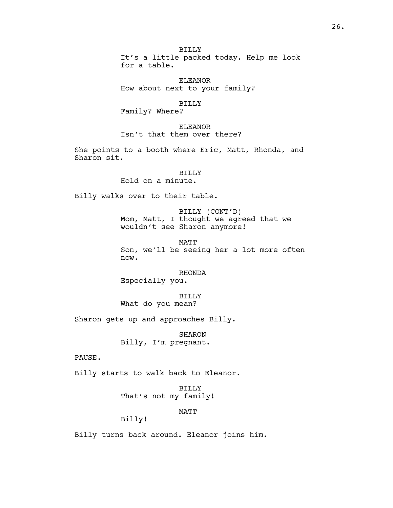BILLY It's a little packed today. Help me look for a table.

ELEANOR How about next to your family?

BILLY

Family? Where?

ELEANOR Isn't that them over there?

She points to a booth where Eric, Matt, Rhonda, and Sharon sit.

> BILLY Hold on a minute.

Billy walks over to their table.

BILLY (CONT'D) Mom, Matt, I thought we agreed that we wouldn't see Sharon anymore!

MATT Son, we'll be seeing her a lot more often now.

RHONDA

Especially you.

BILLY What do you mean?

Sharon gets up and approaches Billy.

SHARON Billy, I'm pregnant.

PAUSE.

Billy starts to walk back to Eleanor.

BILLY That's not my family!

MATT

Billy!

Billy turns back around. Eleanor joins him.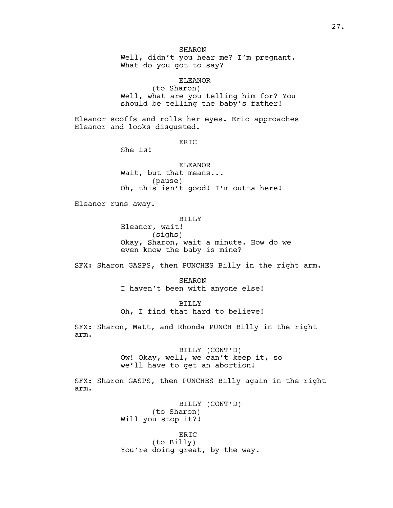Well, didn't you hear me? I'm pregnant. What do you got to say?

ELEANOR

(to Sharon) Well, what are you telling him for? You should be telling the baby's father!

Eleanor scoffs and rolls her eyes. Eric approaches Eleanor and looks disgusted.

ERIC

She is!

ELEANOR Wait, but that means... (pause) Oh, this isn't good! I'm outta here!

Eleanor runs away.

BILLY

Eleanor, wait! (sighs) Okay, Sharon, wait a minute. How do we even know the baby is mine?

SFX: Sharon GASPS, then PUNCHES Billy in the right arm.

SHARON I haven't been with anyone else!

BILLY

Oh, I find that hard to believe!

SFX: Sharon, Matt, and Rhonda PUNCH Billy in the right arm.

> BILLY (CONT'D) Ow! Okay, well, we can't keep it, so we'll have to get an abortion!

SFX: Sharon GASPS, then PUNCHES Billy again in the right arm.

> BILLY (CONT'D) (to Sharon) Will you stop it?!

ERIC (to Billy) You're doing great, by the way.